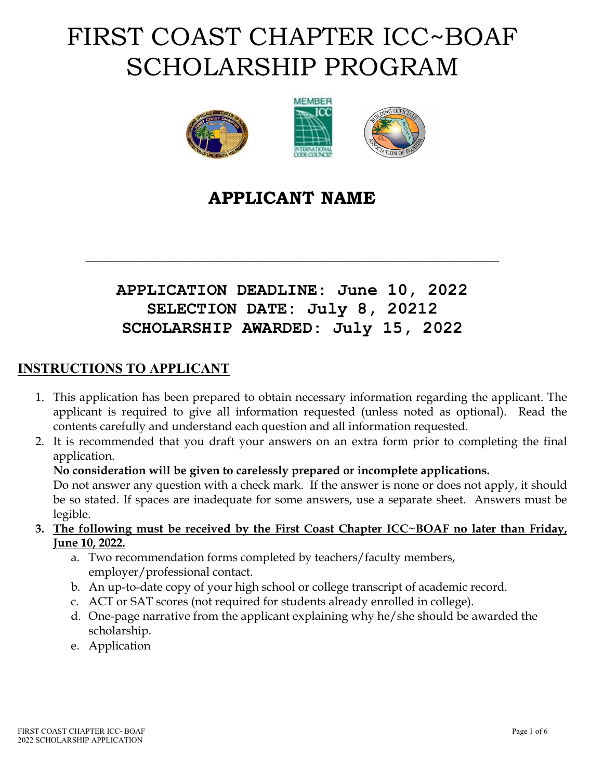# FIRST COAST CHAPTER ICC~BOAF SCHOLARSHIP PROGRAM



## **APPLICANT NAME**

## **APPLICATION DEADLINE: June 10, 2022 SELECTION DATE: July 8, 20212 SCHOLARSHIP AWARDED: July 15, 2022**

\_\_\_\_\_\_\_\_\_\_\_\_\_\_\_\_\_\_\_\_\_\_\_\_\_\_\_\_\_\_\_\_\_\_\_\_\_\_\_\_\_\_\_\_\_\_\_\_\_\_\_\_\_\_\_\_\_\_\_\_\_\_\_\_\_\_\_\_\_\_

### **INSTRUCTIONS TO APPLICANT**

- 1. This application has been prepared to obtain necessary information regarding the applicant. The applicant is required to give all information requested (unless noted as optional). Read the contents carefully and understand each question and all information requested.
- 2. It is recommended that you draft your answers on an extra form prior to completing the final application.

#### **No consideration will be given to carelessly prepared or incomplete applications.**

Do not answer any question with a check mark. If the answer is none or does not apply, it should be so stated. If spaces are inadequate for some answers, use a separate sheet. Answers must be legible.

- **3. The following must be received by the First Coast Chapter ICC~BOAF no later than Friday, June 10, 2022.**
	- a. Two recommendation forms completed by teachers/faculty members, employer/professional contact.
	- b. An up-to-date copy of your high school or college transcript of academic record.
	- c. ACT or SAT scores (not required for students already enrolled in college).
	- d. One-page narrative from the applicant explaining why he/she should be awarded the scholarship.
	- e. Application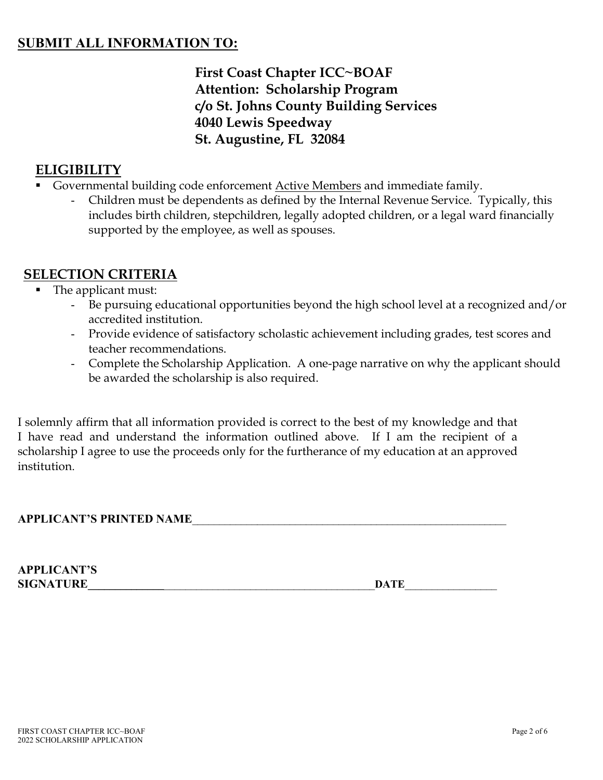### **SUBMIT ALL INFORMATION TO:**

**First Coast Chapter ICC~BOAF Attention: Scholarship Program c/o St. Johns County Building Services 4040 Lewis Speedway St. Augustine, FL 32084**

## **ELIGIBILITY**

- Governmental building code enforcement Active Members and immediate family.
	- Children must be dependents as defined by the Internal Revenue Service. Typically, this includes birth children, stepchildren, legally adopted children, or a legal ward financially supported by the employee, as well as spouses.

## **SELECTION CRITERIA**

- The applicant must:
	- Be pursuing educational opportunities beyond the high school level at a recognized and/or accredited institution.
	- Provide evidence of satisfactory scholastic achievement including grades, test scores and teacher recommendations.
	- Complete the Scholarship Application. A one-page narrative on why the applicant should be awarded the scholarship is also required.

I solemnly affirm that all information provided is correct to the best of my knowledge and that I have read and understand the information outlined above. If I am the recipient of a scholarship I agree to use the proceeds only for the furtherance of my education at an approved institution.

#### **APPLICANT'S PRINTED NAME**\_\_\_\_\_\_\_\_\_\_\_\_\_\_\_\_\_\_\_\_\_\_\_\_\_\_\_\_\_\_\_\_\_\_\_\_\_\_\_\_\_\_\_\_\_\_\_\_\_\_\_\_\_\_\_\_\_\_

| <b>APPLICANT'S</b> |      |
|--------------------|------|
| <b>SIGNATURE</b>   | DATE |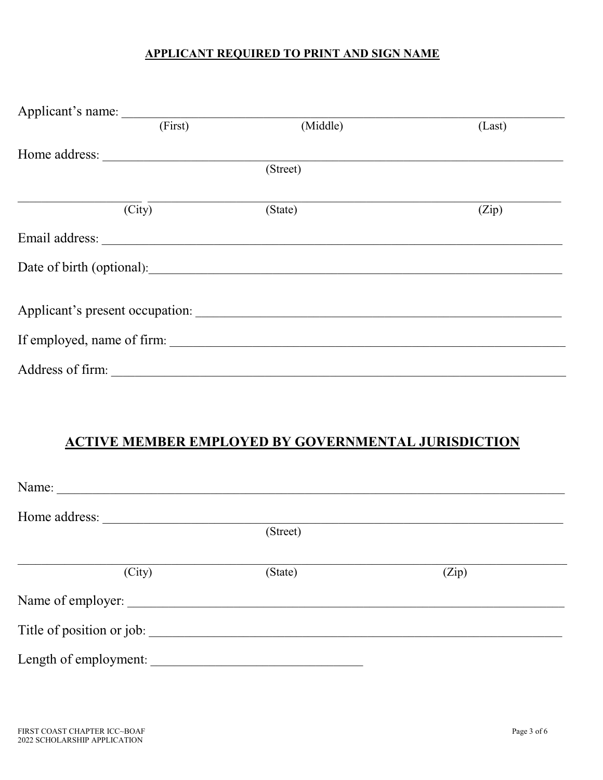#### **APPLICANT REQUIRED TO PRINT AND SIGN NAME**

| Applicant's name: |         |                            |        |
|-------------------|---------|----------------------------|--------|
|                   | (First) | (Middle)                   | (Last) |
| Home address:     |         |                            |        |
|                   |         | (Street)                   |        |
|                   |         |                            |        |
|                   | (City)  | (State)                    | (Zip)  |
|                   |         | Email address:             |        |
|                   |         |                            |        |
|                   |         |                            |        |
|                   |         |                            |        |
|                   |         | If employed, name of firm: |        |
| Address of firm:  |         |                            |        |

## **ACTIVE MEMBER EMPLOYED BY GOVERNMENTAL JURISDICTION**

| Name:                     |          |       |
|---------------------------|----------|-------|
| Home address:             |          |       |
|                           | (Street) |       |
| (City)                    | (State)  | (Zip) |
| Name of employer:         |          |       |
| Title of position or job: |          |       |
| Length of employment:     |          |       |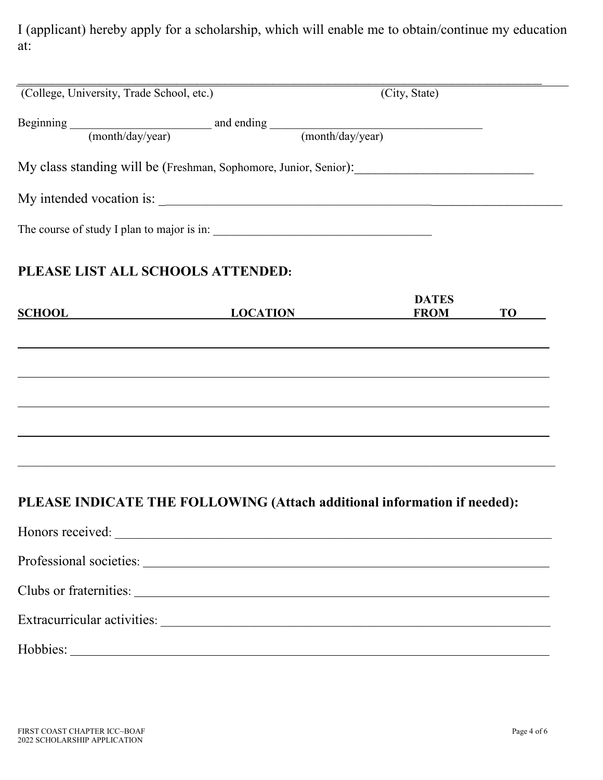I (applicant) hereby apply for a scholarship, which will enable me to obtain/continue my education at:

| (College, University, Trade School, etc.)                                |                                                                      | (City, State)               |           |
|--------------------------------------------------------------------------|----------------------------------------------------------------------|-----------------------------|-----------|
| Beginning (month/day/year) and ending (month/day/year)                   |                                                                      |                             |           |
|                                                                          |                                                                      |                             |           |
|                                                                          |                                                                      |                             |           |
|                                                                          |                                                                      |                             |           |
| The course of study I plan to major is in:                               |                                                                      |                             |           |
| PLEASE LIST ALL SCHOOLS ATTENDED:                                        |                                                                      |                             |           |
| SCHOOL LOCATION                                                          |                                                                      | <b>DATES</b><br><b>FROM</b> | <b>TO</b> |
|                                                                          |                                                                      |                             |           |
|                                                                          |                                                                      |                             |           |
| PLEASE INDICATE THE FOLLOWING (Attach additional information if needed): |                                                                      |                             |           |
|                                                                          |                                                                      |                             |           |
|                                                                          |                                                                      |                             |           |
|                                                                          |                                                                      |                             |           |
|                                                                          |                                                                      |                             |           |
| Hobbies:                                                                 | <u> 1980 - Johann Barbara, martxa alemaniar argametra (h. 1980).</u> |                             |           |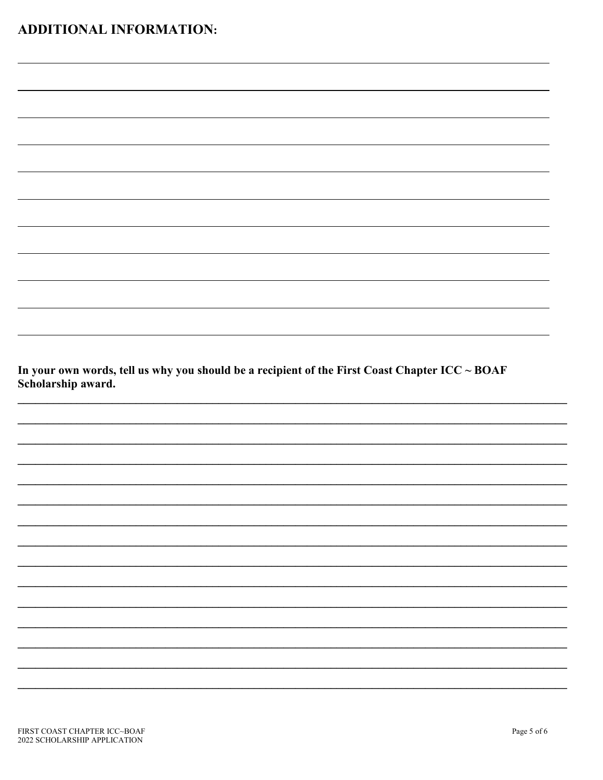| In your own words, tell us why you should be a recipient of the First Coast Chapter ICC $\sim$ BOAF |  |
|-----------------------------------------------------------------------------------------------------|--|
| Scholarship award.                                                                                  |  |